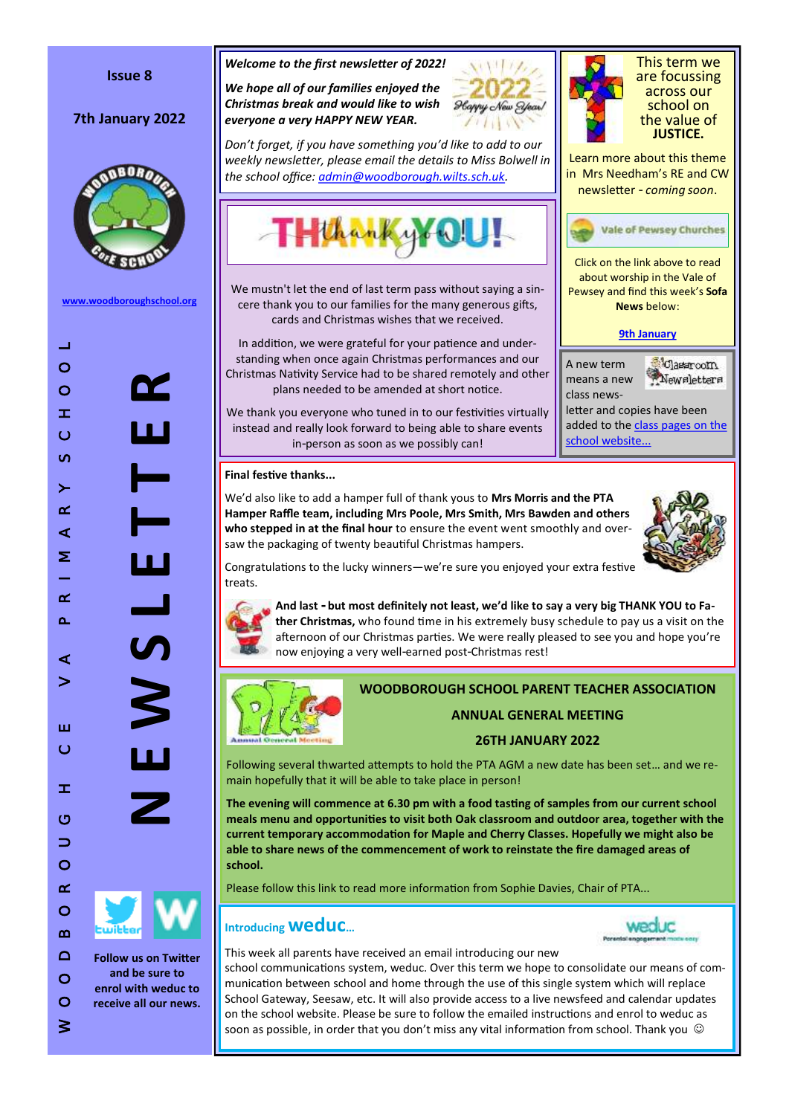#### **Issue 8**

# 7th January 2022



**[www.woodboroughschool.org](https://woodboroughschool.org/)**



**and be sure to enrol with weduc to receive all our news.**

 $\circ$  $\geq$ 

#### *Welcome to the first newsletter of 2022!*

*We hope all of our families enjoyed the Christmas break and would like to wish everyone a very HAPPY NEW YEAR.*



*Don 't forget, if you have something you 'd like to add to our weekly newsletter, please email the details to Miss Bolwell in the school office: [admin@woodborough.wilts.sch.uk.](mailto:admin@woodborough.wilts.sch.uk)* 



We mustn't let the end of last term pass without saying a sincere thank you to our families for the many generous gifts, cards and Christmas wishes that we received.

In addition, we were grateful for your patience and understanding when once again Christmas performances and our Christmas Nativity Service had to be shared remotely and other plans needed to be amended at short notice.

We thank you everyone who tuned in to our festivities virtually instead and really look forward to being able to share events in -person as soon as we possibly can!

#### **Final festive thanks...**

We 'd also like to add a hamper full of thank yous to **Mrs Morris and the PTA Hamper Raffle team, including Mrs Poole, Mrs Smith, Mrs Bawden and others**  who stepped in at the final hour to ensure the event went smoothly and oversaw the packaging of twenty beautiful Christmas hampers.



**Classroom** 

Newsletters

This term we are focussing across our school on the value of **JUSTICE.**

Learn more about this theme in Mrs Needham 's RE and CW newsletter - *coming soon* .

Click on the link above to read about worship in the Vale of Pewsey and find this week 's **Sofa News** below:

**Vale of Pewsey Churches** 

**[9th January](https://www.valeofpewsey.org/wp-content/plugins/pdf-poster/pdfjs/web/viewer.html?file=https://www.valeofpewsey.org/wp-content/uploads/2022/01/Sofa-news-9th-Jan.pdf&download=true&print=&openfile=false)**

letter and copies have been added to the class pages on the

A new term means a new class news-

[school website...](https://woodboroughschool.org/classes-curriculum/)

Congratulations to the lucky winners —we 're sure you enjoyed your extra festive treats.



**And last - but most definitely not least, we 'd like to say a very big THANK YOU to Father Christmas,** who found time in his extremely busy schedule to pay us a visit on the afternoon of our Christmas parties. We were really pleased to see you and hope you're now enjoying a very well -earned post -Christmas rest!



## **WOODBOROUGH SCHOOL PARENT TEACHER ASSOCIATION**

**ANNUAL GENERAL MEETING**

## **26TH JANUARY 2022**

Following several thwarted attempts to hold the PTA AGM a new date has been set… and we remain hopefully that it will be able to take place in person!

**The evening will commence at 6.30 pm with a food tasting of samples from our current school meals menu and opportunities to visit both Oak classroom and outdoor area, together with the current temporary accommodation for Maple and Cherry Classes. Hopefully we might also be able to share news of the commencement of work to reinstate the fire damaged areas of school.**

Please follow this link to read more information from Sophie Davies, Chair of PTA...

# **Introducing weduc …**



This week all parents have received an email introducing our new school communications system, weduc. Over this term we hope to consolidate our means of communication between school and home through the use of this single system which will replace School Gateway, Seesaw, etc. It will also provide access to a live newsfeed and calendar updates on the school website. Please be sure to follow the emailed instructions and enrol to weduc as soon as possible, in order that you don't miss any vital information from school. Thank you  $~^{\copyright}$